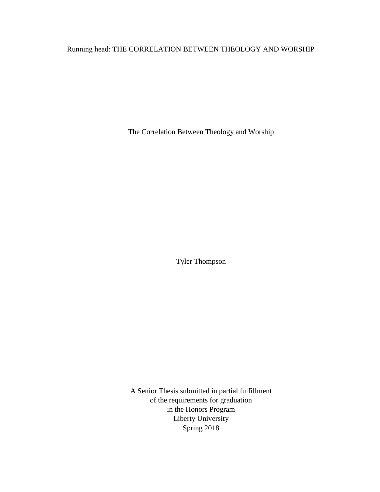# Running head: THE CORRELATION BETWEEN THEOLOGY AND WORSHIP

The Correlation Between Theology and Worship

Tyler Thompson

A Senior Thesis submitted in partial fulfillment of the requirements for graduation in the Honors Program Liberty University Spring 2018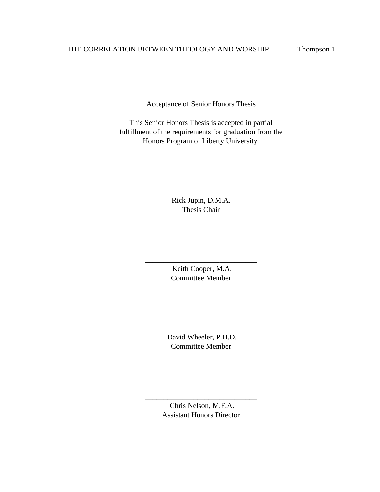Acceptance of Senior Honors Thesis

This Senior Honors Thesis is accepted in partial fulfillment of the requirements for graduation from the Honors Program of Liberty University.

> Rick Jupin, D.M.A. Thesis Chair

\_\_\_\_\_\_\_\_\_\_\_\_\_\_\_\_\_\_\_\_\_\_\_\_\_\_\_\_\_\_

Keith Cooper, M.A. Committee Member

\_\_\_\_\_\_\_\_\_\_\_\_\_\_\_\_\_\_\_\_\_\_\_\_\_\_\_\_\_\_

David Wheeler, P.H.D. Committee Member

\_\_\_\_\_\_\_\_\_\_\_\_\_\_\_\_\_\_\_\_\_\_\_\_\_\_\_\_\_\_

Chris Nelson, M.F.A. Assistant Honors Director

\_\_\_\_\_\_\_\_\_\_\_\_\_\_\_\_\_\_\_\_\_\_\_\_\_\_\_\_\_\_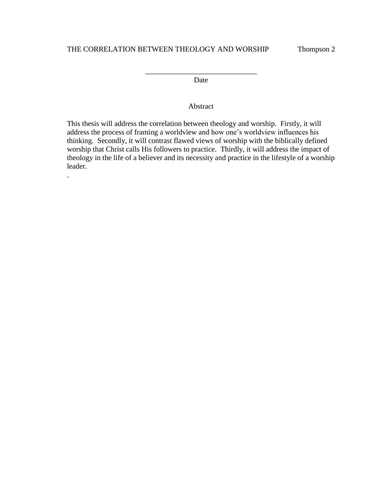.

\_\_\_\_\_\_\_\_\_\_\_\_\_\_\_\_\_\_\_\_\_\_\_\_\_\_\_\_\_\_ Date

## Abstract

This thesis will address the correlation between theology and worship. Firstly, it will address the process of framing a worldview and how one's worldview influences his thinking. Secondly, it will contrast flawed views of worship with the biblically defined worship that Christ calls His followers to practice. Thirdly, it will address the impact of theology in the life of a believer and its necessity and practice in the lifestyle of a worship leader.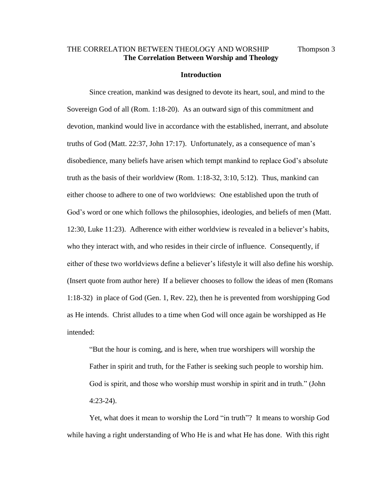## THE CORRELATION BETWEEN THEOLOGY AND WORSHIP Thompson 3 **The Correlation Between Worship and Theology**

#### **Introduction**

Since creation, mankind was designed to devote its heart, soul, and mind to the Sovereign God of all (Rom. 1:18-20). As an outward sign of this commitment and devotion, mankind would live in accordance with the established, inerrant, and absolute truths of God (Matt. 22:37, John 17:17). Unfortunately, as a consequence of man's disobedience, many beliefs have arisen which tempt mankind to replace God's absolute truth as the basis of their worldview (Rom. 1:18-32, 3:10, 5:12). Thus, mankind can either choose to adhere to one of two worldviews: One established upon the truth of God's word or one which follows the philosophies, ideologies, and beliefs of men (Matt. 12:30, Luke 11:23). Adherence with either worldview is revealed in a believer's habits, who they interact with, and who resides in their circle of influence. Consequently, if either of these two worldviews define a believer's lifestyle it will also define his worship. (Insert quote from author here) If a believer chooses to follow the ideas of men (Romans 1:18-32) in place of God (Gen. 1, Rev. 22), then he is prevented from worshipping God as He intends. Christ alludes to a time when God will once again be worshipped as He intended:

"But the hour is coming, and is here, when true worshipers will worship the Father in spirit and truth, for the Father is seeking such people to worship him. God is spirit, and those who worship must worship in spirit and in truth." (John 4:23-24).

Yet, what does it mean to worship the Lord "in truth"? It means to worship God while having a right understanding of Who He is and what He has done. With this right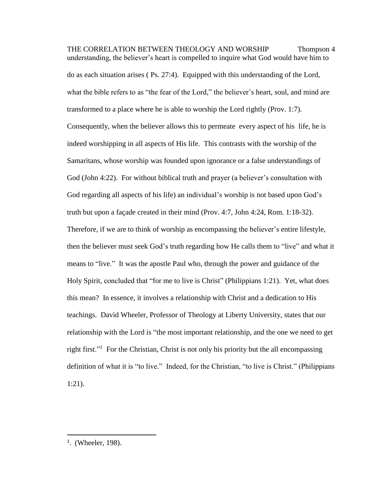THE CORRELATION BETWEEN THEOLOGY AND WORSHIP Thompson 4 understanding, the believer's heart is compelled to inquire what God would have him to do as each situation arises ( Ps. 27:4). Equipped with this understanding of the Lord, what the bible refers to as "the fear of the Lord," the believer's heart, soul, and mind are transformed to a place where he is able to worship the Lord rightly (Prov. 1:7). Consequently, when the believer allows this to permeate every aspect of his life, he is indeed worshipping in all aspects of His life. This contrasts with the worship of the Samaritans, whose worship was founded upon ignorance or a false understandings of God (John 4:22). For without biblical truth and prayer (a believer's consultation with God regarding all aspects of his life) an individual's worship is not based upon God's truth but upon a façade created in their mind (Prov. 4:7, John 4:24, Rom. 1:18-32). Therefore, if we are to think of worship as encompassing the believer's entire lifestyle, then the believer must seek God's truth regarding how He calls them to "live" and what it means to "live." It was the apostle Paul who, through the power and guidance of the Holy Spirit, concluded that "for me to live is Christ" (Philippians 1:21). Yet, what does this mean? In essence, it involves a relationship with Christ and a dedication to His teachings. David Wheeler, Professor of Theology at Liberty University, states that our relationship with the Lord is "the most important relationship, and the one we need to get right first."<sup>1</sup> For the Christian, Christ is not only his priority but the all encompassing definition of what it is "to live." Indeed, for the Christian, "to live is Christ." (Philippians 1:21).

<sup>1</sup> . (Wheeler, 198).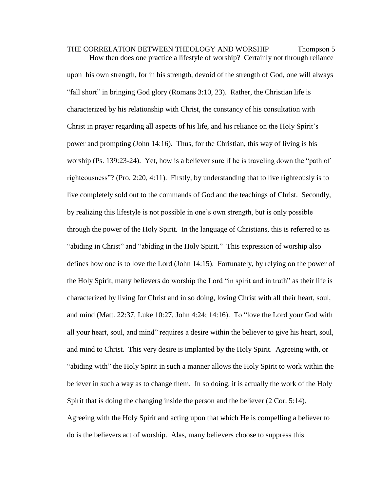THE CORRELATION BETWEEN THEOLOGY AND WORSHIP Thompson 5 How then does one practice a lifestyle of worship? Certainly not through reliance upon his own strength, for in his strength, devoid of the strength of God, one will always "fall short" in bringing God glory (Romans 3:10, 23). Rather, the Christian life is characterized by his relationship with Christ, the constancy of his consultation with Christ in prayer regarding all aspects of his life, and his reliance on the Holy Spirit's power and prompting (John 14:16). Thus, for the Christian, this way of living is his worship (Ps. 139:23-24). Yet, how is a believer sure if he is traveling down the "path of righteousness"? (Pro. 2:20, 4:11). Firstly, by understanding that to live righteously is to live completely sold out to the commands of God and the teachings of Christ. Secondly, by realizing this lifestyle is not possible in one's own strength, but is only possible through the power of the Holy Spirit. In the language of Christians, this is referred to as "abiding in Christ" and "abiding in the Holy Spirit." This expression of worship also defines how one is to love the Lord (John 14:15). Fortunately, by relying on the power of the Holy Spirit, many believers do worship the Lord "in spirit and in truth" as their life is characterized by living for Christ and in so doing, loving Christ with all their heart, soul, and mind (Matt. 22:37, Luke 10:27, John 4:24; 14:16). To "love the Lord your God with all your heart, soul, and mind" requires a desire within the believer to give his heart, soul, and mind to Christ. This very desire is implanted by the Holy Spirit. Agreeing with, or "abiding with" the Holy Spirit in such a manner allows the Holy Spirit to work within the believer in such a way as to change them. In so doing, it is actually the work of the Holy Spirit that is doing the changing inside the person and the believer (2 Cor. 5:14). Agreeing with the Holy Spirit and acting upon that which He is compelling a believer to do is the believers act of worship. Alas, many believers choose to suppress this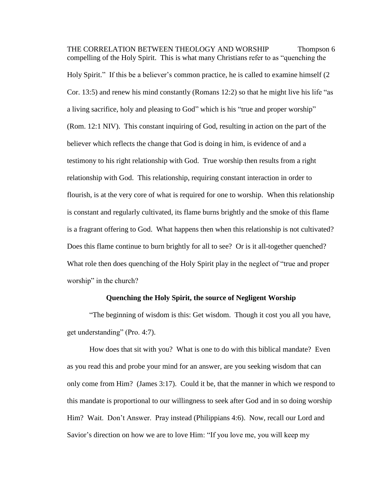THE CORRELATION BETWEEN THEOLOGY AND WORSHIP Thompson 6 compelling of the Holy Spirit. This is what many Christians refer to as "quenching the Holy Spirit." If this be a believer's common practice, he is called to examine himself (2 Cor. 13:5) and renew his mind constantly (Romans 12:2) so that he might live his life "as a living sacrifice, holy and pleasing to God" which is his "true and proper worship" (Rom. 12:1 NIV). This constant inquiring of God, resulting in action on the part of the believer which reflects the change that God is doing in him, is evidence of and a testimony to his right relationship with God. True worship then results from a right relationship with God. This relationship, requiring constant interaction in order to flourish, is at the very core of what is required for one to worship. When this relationship is constant and regularly cultivated, its flame burns brightly and the smoke of this flame is a fragrant offering to God. What happens then when this relationship is not cultivated? Does this flame continue to burn brightly for all to see? Or is it all-together quenched? What role then does quenching of the Holy Spirit play in the neglect of "true and proper worship" in the church?

#### **Quenching the Holy Spirit, the source of Negligent Worship**

"The beginning of wisdom is this: Get wisdom. Though it cost you all you have, get understanding" (Pro. 4:7).

How does that sit with you? What is one to do with this biblical mandate? Even as you read this and probe your mind for an answer, are you seeking wisdom that can only come from Him? (James 3:17). Could it be, that the manner in which we respond to this mandate is proportional to our willingness to seek after God and in so doing worship Him? Wait. Don't Answer. Pray instead (Philippians 4:6). Now, recall our Lord and Savior's direction on how we are to love Him: "If you love me, you will keep my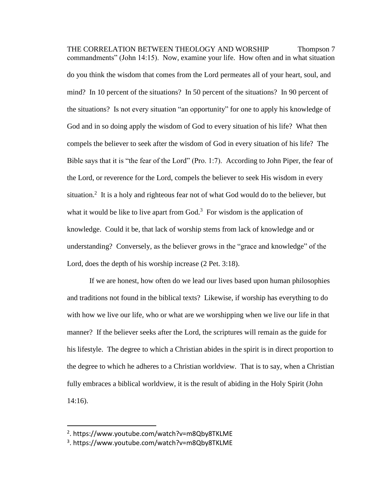THE CORRELATION BETWEEN THEOLOGY AND WORSHIP Thompson 7 commandments" (John 14:15). Now, examine your life. How often and in what situation do you think the wisdom that comes from the Lord permeates all of your heart, soul, and mind? In 10 percent of the situations? In 50 percent of the situations? In 90 percent of the situations? Is not every situation "an opportunity" for one to apply his knowledge of God and in so doing apply the wisdom of God to every situation of his life? What then compels the believer to seek after the wisdom of God in every situation of his life? The Bible says that it is "the fear of the Lord" (Pro. 1:7). According to John Piper, the fear of the Lord, or reverence for the Lord, compels the believer to seek His wisdom in every situation.<sup>2</sup> It is a holy and righteous fear not of what God would do to the believer, but what it would be like to live apart from  $God.^3$  For wisdom is the application of knowledge. Could it be, that lack of worship stems from lack of knowledge and or understanding? Conversely, as the believer grows in the "grace and knowledge" of the Lord, does the depth of his worship increase (2 Pet. 3:18).

If we are honest, how often do we lead our lives based upon human philosophies and traditions not found in the biblical texts? Likewise, if worship has everything to do with how we live our life, who or what are we worshipping when we live our life in that manner? If the believer seeks after the Lord, the scriptures will remain as the guide for his lifestyle. The degree to which a Christian abides in the spirit is in direct proportion to the degree to which he adheres to a Christian worldview. That is to say, when a Christian fully embraces a biblical worldview, it is the result of abiding in the Holy Spirit (John 14:16).

<sup>2</sup> . https://www.youtube.com/watch?v=m8Qby8TKLME

<sup>3</sup> . https://www.youtube.com/watch?v=m8Qby8TKLME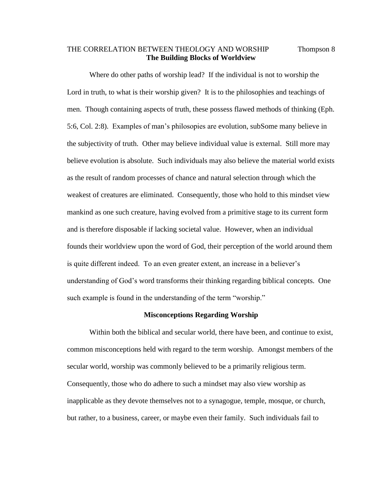## THE CORRELATION BETWEEN THEOLOGY AND WORSHIP Thompson 8 **The Building Blocks of Worldview**

Where do other paths of worship lead? If the individual is not to worship the Lord in truth, to what is their worship given? It is to the philosophies and teachings of men. Though containing aspects of truth, these possess flawed methods of thinking (Eph. 5:6, Col. 2:8). Examples of man's philosopies are evolution, subSome many believe in the subjectivity of truth. Other may believe individual value is external. Still more may believe evolution is absolute. Such individuals may also believe the material world exists as the result of random processes of chance and natural selection through which the weakest of creatures are eliminated. Consequently, those who hold to this mindset view mankind as one such creature, having evolved from a primitive stage to its current form and is therefore disposable if lacking societal value. However, when an individual founds their worldview upon the word of God, their perception of the world around them is quite different indeed. To an even greater extent, an increase in a believer's understanding of God's word transforms their thinking regarding biblical concepts. One such example is found in the understanding of the term "worship."

#### **Misconceptions Regarding Worship**

Within both the biblical and secular world, there have been, and continue to exist, common misconceptions held with regard to the term worship. Amongst members of the secular world, worship was commonly believed to be a primarily religious term. Consequently, those who do adhere to such a mindset may also view worship as inapplicable as they devote themselves not to a synagogue, temple, mosque, or church, but rather, to a business, career, or maybe even their family. Such individuals fail to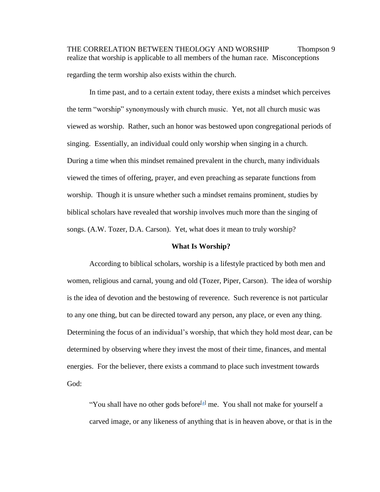THE CORRELATION BETWEEN THEOLOGY AND WORSHIP Thompson 9 realize that worship is applicable to all members of the human race. Misconceptions regarding the term worship also exists within the church.

In time past, and to a certain extent today, there exists a mindset which perceives the term "worship" synonymously with church music. Yet, not all church music was viewed as worship. Rather, such an honor was bestowed upon congregational periods of singing. Essentially, an individual could only worship when singing in a church. During a time when this mindset remained prevalent in the church, many individuals viewed the times of offering, prayer, and even preaching as separate functions from worship. Though it is unsure whether such a mindset remains prominent, studies by biblical scholars have revealed that worship involves much more than the singing of songs. (A.W. Tozer, D.A. Carson). Yet, what does it mean to truly worship?

#### **What Is Worship?**

According to biblical scholars, worship is a lifestyle practiced by both men and women, religious and carnal, young and old (Tozer, Piper, Carson). The idea of worship is the idea of devotion and the bestowing of reverence. Such reverence is not particular to any one thing, but can be directed toward any person, any place, or even any thing. Determining the focus of an individual's worship, that which they hold most dear, can be determined by observing where they invest the most of their time, finances, and mental energies. For the believer, there exists a command to place such investment towards God:

"You shall have no other gods before<sup>[\[a\]](https://www.biblegateway.com/passage/?search=Exodus+20%3A3-5&version=ESV#fen-ESV-2055a)</sup> me. You shall not make for yourself a carved image, or any likeness of anything that is in heaven above, or that is in the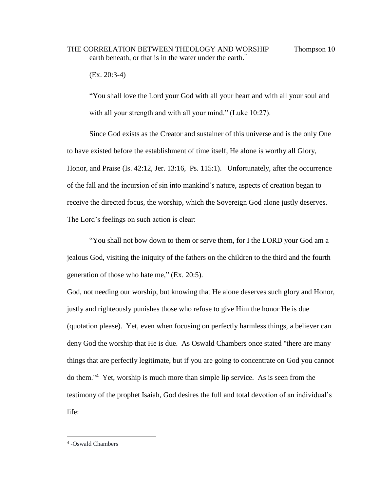## THE CORRELATION BETWEEN THEOLOGY AND WORSHIP Thompson 10 earth beneath, or that is in the water under the earth."

(Ex. 20:3-4)

"You shall love the Lord your God with all your heart and with all your soul and with all your strength and with all your mind." (Luke 10:27).

Since God exists as the Creator and sustainer of this universe and is the only One to have existed before the establishment of time itself, He alone is worthy all Glory, Honor, and Praise (Is. 42:12, Jer. 13:16, Ps. 115:1). Unfortunately, after the occurrence of the fall and the incursion of sin into mankind's nature, aspects of creation began to receive the directed focus, the worship, which the Sovereign God alone justly deserves. The Lord's feelings on such action is clear:

"You shall not bow down to them or serve them, for I the LORD your God am a jealous God, visiting the iniquity of the fathers on the children to the third and the fourth generation of those who hate me," (Ex. 20:5).

God, not needing our worship, but knowing that He alone deserves such glory and Honor, justly and righteously punishes those who refuse to give Him the honor He is due (quotation please). Yet, even when focusing on perfectly harmless things, a believer can deny God the worship that He is due. As Oswald Chambers once stated "there are many things that are perfectly legitimate, but if you are going to concentrate on God you cannot do them." 4 Yet, worship is much more than simple lip service. As is seen from the testimony of the prophet Isaiah, God desires the full and total devotion of an individual's life:

<sup>4</sup> -Oswald Chambers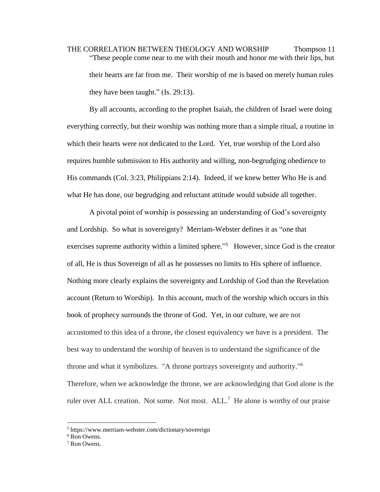THE CORRELATION BETWEEN THEOLOGY AND WORSHIP Thompson 11 "These people come near to me with their mouth and honor me with their lips, but their hearts are far from me. Their worship of me is based on merely human rules they have been taught." (Is. 29:13).

By all accounts, according to the prophet Isaiah, the children of Israel were doing everything correctly, but their worship was nothing more than a simple ritual, a routine in which their hearts were not dedicated to the Lord. Yet, true worship of the Lord also requires humble submission to His authority and willing, non-begrudging obedience to His commands (Col. 3:23, Philippians 2:14). Indeed, if we knew better Who He is and what He has done, our begrudging and reluctant attitude would subside all together.

A pivotal point of worship is possessing an understanding of God's sovereignty and Lordship. So what is sovereignty? Merriam-Webster defines it as "one that exercises supreme authority within a limited sphere."<sup>5</sup> However, since God is the creator of all, He is thus Sovereign of all as he possesses no limits to His sphere of influence. Nothing more clearly explains the sovereignty and Lordship of God than the Revelation account (Return to Worship). In this account, much of the worship which occurs in this book of prophecy surrounds the throne of God. Yet, in our culture, we are not accustomed to this idea of a throne, the closest equivalency we have is a president. The best way to understand the worship of heaven is to understand the significance of the throne and what it symbolizes. "A throne portrays sovereignty and authority." 6 Therefore, when we acknowledge the throne, we are acknowledging that God alone is the ruler over ALL creation. Not some. Not most.  $ALL<sup>7</sup>$  He alone is worthy of our praise

<sup>5</sup> https://www.merriam-webster.com/dictionary/sovereign

<sup>6</sup> Ron Owens.

<sup>7</sup> Ron Owens.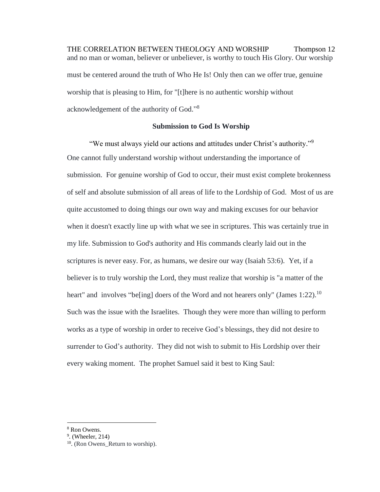THE CORRELATION BETWEEN THEOLOGY AND WORSHIP Thompson 12 and no man or woman, believer or unbeliever, is worthy to touch His Glory. Our worship must be centered around the truth of Who He Is! Only then can we offer true, genuine worship that is pleasing to Him, for "[t]here is no authentic worship without acknowledgement of the authority of God."<sup>8</sup>

## **Submission to God Is Worship**

"We must always yield our actions and attitudes under Christ's authority."<sup>9</sup> One cannot fully understand worship without understanding the importance of submission. For genuine worship of God to occur, their must exist complete brokenness of self and absolute submission of all areas of life to the Lordship of God. Most of us are quite accustomed to doing things our own way and making excuses for our behavior when it doesn't exactly line up with what we see in scriptures. This was certainly true in my life. Submission to God's authority and His commands clearly laid out in the scriptures is never easy. For, as humans, we desire our way (Isaiah 53:6). Yet, if a believer is to truly worship the Lord, they must realize that worship is "a matter of the heart" and involves "be[ing] doers of the Word and not hearers only" (James 1:22).<sup>10</sup> Such was the issue with the Israelites. Though they were more than willing to perform works as a type of worship in order to receive God's blessings, they did not desire to surrender to God's authority. They did not wish to submit to His Lordship over their every waking moment. The prophet Samuel said it best to King Saul:

<sup>8</sup> Ron Owens.

 $<sup>9</sup>$ . (Wheeler, 214)</sup>

<sup>&</sup>lt;sup>10</sup>. (Ron Owens\_Return to worship).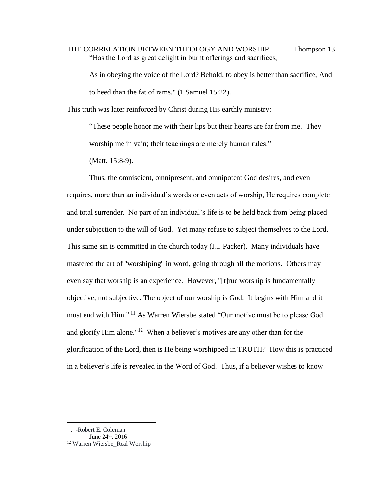THE CORRELATION BETWEEN THEOLOGY AND WORSHIP Thompson 13 "Has the Lord as great delight in burnt offerings and sacrifices,

As in obeying the voice of the Lord? Behold, to obey is better than sacrifice, And to heed than the fat of rams." (1 Samuel 15:22).

This truth was later reinforced by Christ during His earthly ministry:

"These people honor me with their lips but their hearts are far from me. They worship me in vain; their teachings are merely human rules."

(Matt. 15:8-9).

Thus, the omniscient, omnipresent, and omnipotent God desires, and even requires, more than an individual's words or even acts of worship, He requires complete and total surrender. No part of an individual's life is to be held back from being placed under subjection to the will of God. Yet many refuse to subject themselves to the Lord. This same sin is committed in the church today (J.I. Packer). Many individuals have mastered the art of "worshiping" in word, going through all the motions. Others may even say that worship is an experience. However, "[t]rue worship is fundamentally objective, not subjective. The object of our worship is God. It begins with Him and it must end with Him." <sup>11</sup> As Warren Wiersbe stated "Our motive must be to please God and glorify Him alone."<sup>12</sup> When a believer's motives are any other than for the glorification of the Lord, then is He being worshipped in TRUTH? How this is practiced in a believer's life is revealed in the Word of God. Thus, if a believer wishes to know

<sup>11</sup> . -Robert E. Coleman

June 24<sup>th</sup>, 2016

<sup>12</sup> Warren Wiersbe\_Real Worship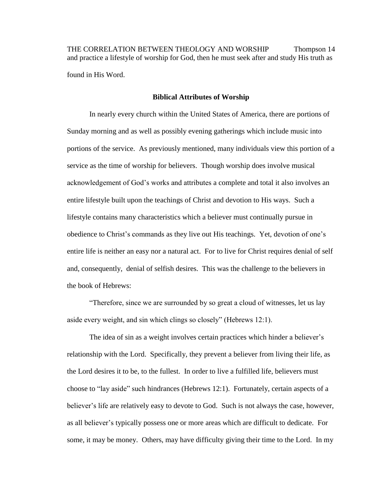THE CORRELATION BETWEEN THEOLOGY AND WORSHIP Thompson 14 and practice a lifestyle of worship for God, then he must seek after and study His truth as found in His Word.

#### **Biblical Attributes of Worship**

In nearly every church within the United States of America, there are portions of Sunday morning and as well as possibly evening gatherings which include music into portions of the service. As previously mentioned, many individuals view this portion of a service as the time of worship for believers. Though worship does involve musical acknowledgement of God's works and attributes a complete and total it also involves an entire lifestyle built upon the teachings of Christ and devotion to His ways. Such a lifestyle contains many characteristics which a believer must continually pursue in obedience to Christ's commands as they live out His teachings. Yet, devotion of one's entire life is neither an easy nor a natural act. For to live for Christ requires denial of self and, consequently, denial of selfish desires. This was the challenge to the believers in the book of Hebrews:

"Therefore, since we are surrounded by so great a cloud of witnesses, let us lay aside every weight, and sin which clings so closely" (Hebrews 12:1).

The idea of sin as a weight involves certain practices which hinder a believer's relationship with the Lord. Specifically, they prevent a believer from living their life, as the Lord desires it to be, to the fullest. In order to live a fulfilled life, believers must choose to "lay aside" such hindrances (Hebrews 12:1). Fortunately, certain aspects of a believer's life are relatively easy to devote to God. Such is not always the case, however, as all believer's typically possess one or more areas which are difficult to dedicate. For some, it may be money. Others, may have difficulty giving their time to the Lord. In my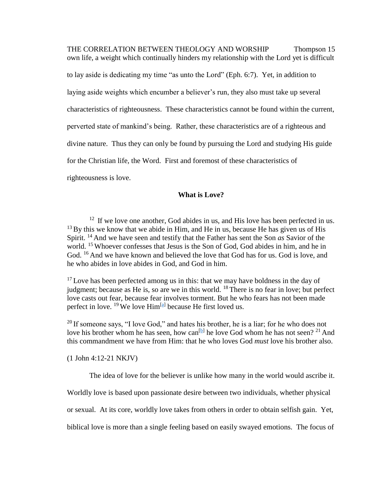THE CORRELATION BETWEEN THEOLOGY AND WORSHIP Thompson 15 own life, a weight which continually hinders my relationship with the Lord yet is difficult to lay aside is dedicating my time "as unto the Lord" (Eph. 6:7). Yet, in addition to laying aside weights which encumber a believer's run, they also must take up several characteristics of righteousness. These characteristics cannot be found within the current, perverted state of mankind's being. Rather, these characteristics are of a righteous and divine nature. Thus they can only be found by pursuing the Lord and studying His guide for the Christian life, the Word. First and foremost of these characteristics of righteousness is love.

## **What is Love?**

 $12$  If we love one another, God abides in us, and His love has been perfected in us.  $13$  By this we know that we abide in Him, and He in us, because He has given us of His Spirit. <sup>14</sup> And we have seen and testify that the Father has sent the Son *as* Savior of the world. <sup>15</sup> Whoever confesses that Jesus is the Son of God, God abides in him, and he in God. <sup>16</sup> And we have known and believed the love that God has for us. God is love, and he who abides in love abides in God, and God in him.

 $17$  Love has been perfected among us in this: that we may have boldness in the day of judgment; because as He is, so are we in this world.  $^{18}$  There is no fear in love; but perfect love casts out fear, because fear involves torment. But he who fears has not been made perfect in love. <sup>19</sup> We love Him<sup>[\[a\]](https://www.biblegateway.com/passage/?search=1+John+4%3A12-21&version=NKJV#fen-NKJV-30623a)</sup> because He first loved us.

<sup>20</sup> If someone says, "I love God," and hates his brother, he is a liar; for he who does not love his brother whom he has seen, how can<sup>[\[b\]](https://www.biblegateway.com/passage/?search=1+John+4%3A12-21&version=NKJV#fen-NKJV-30624b)</sup> he love God whom he has not seen?<sup>21</sup> And this commandment we have from Him: that he who loves God *must* love his brother also.

(1 John 4:12-21 NKJV)

The idea of love for the believer is unlike how many in the world would ascribe it.

Worldly love is based upon passionate desire between two individuals, whether physical

or sexual. At its core, worldly love takes from others in order to obtain selfish gain. Yet,

biblical love is more than a single feeling based on easily swayed emotions. The focus of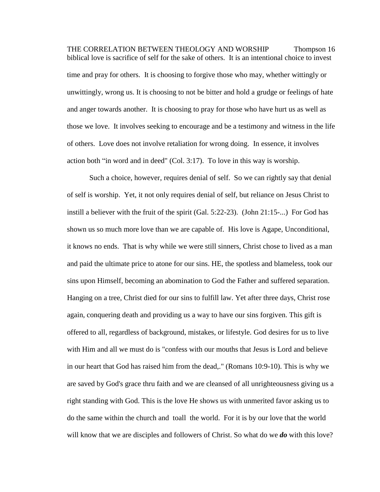THE CORRELATION BETWEEN THEOLOGY AND WORSHIP Thompson 16 biblical love is sacrifice of self for the sake of others. It is an intentional choice to invest time and pray for others. It is choosing to forgive those who may, whether wittingly or unwittingly, wrong us. It is choosing to not be bitter and hold a grudge or feelings of hate and anger towards another. It is choosing to pray for those who have hurt us as well as those we love. It involves seeking to encourage and be a testimony and witness in the life of others. Love does not involve retaliation for wrong doing. In essence, it involves action both "in word and in deed" (Col. 3:17). To love in this way is worship.

Such a choice, however, requires denial of self. So we can rightly say that denial of self is worship. Yet, it not only requires denial of self, but reliance on Jesus Christ to instill a believer with the fruit of the spirit (Gal. 5:22-23). (John 21:15-...) For God has shown us so much more love than we are capable of. His love is Agape, Unconditional, it knows no ends. That is why while we were still sinners, Christ chose to lived as a man and paid the ultimate price to atone for our sins. HE, the spotless and blameless, took our sins upon Himself, becoming an abomination to God the Father and suffered separation. Hanging on a tree, Christ died for our sins to fulfill law. Yet after three days, Christ rose again, conquering death and providing us a way to have our sins forgiven. This gift is offered to all, regardless of background, mistakes, or lifestyle. God desires for us to live with Him and all we must do is "confess with our mouths that Jesus is Lord and believe in our heart that God has raised him from the dead,." (Romans 10:9-10). This is why we are saved by God's grace thru faith and we are cleansed of all unrighteousness giving us a right standing with God. This is the love He shows us with unmerited favor asking us to do the same within the church and toall the world. For it is by our love that the world will know that we are disciples and followers of Christ. So what do we *do* with this love?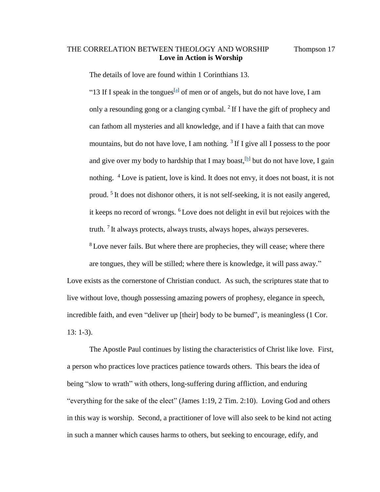## THE CORRELATION BETWEEN THEOLOGY AND WORSHIP Thompson 17 **Love in Action is Worship**

The details of love are found within 1 Corinthians 13.

"13 If I speak in the tongues<sup>[\[a\]](https://www.biblegateway.com/passage/?search=1+Corinthians+13&version=NIV#fen-NIV-28667a)</sup> of men or of angels, but do not have love, I am only a resounding gong or a clanging cymbal.  $2$  If I have the gift of prophecy and can fathom all mysteries and all knowledge, and if I have a faith that can move mountains, but do not have love, I am nothing.  $3$  If I give all I possess to the poor and give over my body to hardship that I may boast,  $[$ b $]$  but do not have love, I gain nothing. <sup>4</sup> Love is patient, love is kind. It does not envy, it does not boast, it is not proud.<sup>5</sup> It does not dishonor others, it is not self-seeking, it is not easily angered, it keeps no record of wrongs. <sup>6</sup> Love does not delight in evil but rejoices with the truth.  $7$  It always protects, always trusts, always hopes, always perseveres.

<sup>8</sup> Love never fails. But where there are prophecies, they will cease; where there are tongues, they will be stilled; where there is knowledge, it will pass away." Love exists as the cornerstone of Christian conduct. As such, the scriptures state that to

incredible faith, and even "deliver up [their] body to be burned", is meaningless (1 Cor.

live without love, though possessing amazing powers of prophesy, elegance in speech,

13: 1-3).

The Apostle Paul continues by listing the characteristics of Christ like love. First, a person who practices love practices patience towards others. This bears the idea of being "slow to wrath" with others, long-suffering during affliction, and enduring "everything for the sake of the elect" (James 1:19, 2 Tim. 2:10). Loving God and others in this way is worship. Second, a practitioner of love will also seek to be kind not acting in such a manner which causes harms to others, but seeking to encourage, edify, and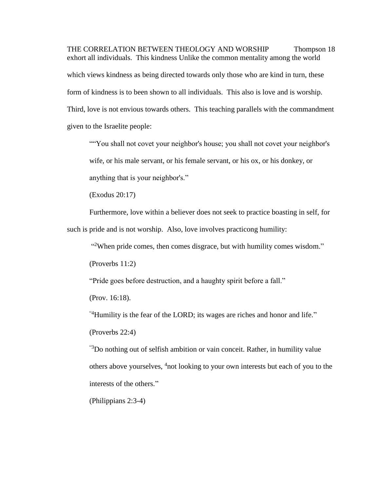THE CORRELATION BETWEEN THEOLOGY AND WORSHIP Thompson 18 exhort all individuals. This kindness Unlike the common mentality among the world which views kindness as being directed towards only those who are kind in turn, these form of kindness is to been shown to all individuals. This also is love and is worship. Third, love is not envious towards others. This teaching parallels with the commandment given to the Israelite people:

""You shall not covet your neighbor's house; you shall not covet your neighbor's wife, or his male servant, or his female servant, or his ox, or his donkey, or anything that is your neighbor's."

(Exodus 20:17)

Furthermore, love within a believer does not seek to practice boasting in self, for such is pride and is not worship. Also, love involves practicong humility:

"<sup>2</sup>When pride comes, then comes disgrace, but with humility comes wisdom."

[\(Proverbs 11:2\)](http://www.biblica.com/en-us/bible/online-bible/niv/proverbs/11/)

"Pride goes before destruction, and a haughty spirit before a fall."

(Prov. 16:18).

"4Humility is the fear of the LORD; its wages are riches and honor and life."

[\(Proverbs 22:4\)](http://www.biblica.com/en-us/bible/online-bible/niv/proverbs/22/)

"3Do nothing out of selfish ambition or vain conceit. Rather, in humility value others above yourselves, <sup>4</sup>not looking to your own interests but each of you to the interests of the others."

[\(Philippians 2:3-4\)](http://www.biblica.com/en-us/bible/online-bible/niv/philippians/2/)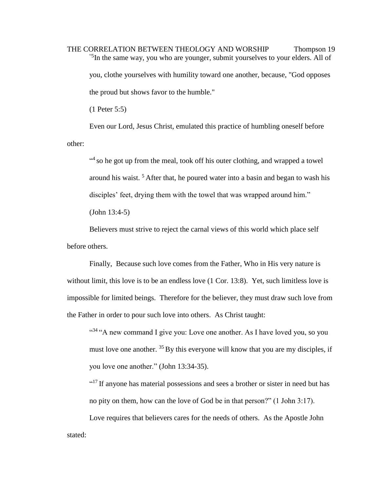THE CORRELATION BETWEEN THEOLOGY AND WORSHIP Thompson 19 <sup>5</sup>In the same way, you who are younger, submit yourselves to your elders. All of you, clothe yourselves with humility toward one another, because, "God opposes the proud but shows favor to the humble."

[\(1 Peter 5:5\)](http://www.biblica.com/en-us/bible/online-bible/niv/1-peter/5/)

Even our Lord, Jesus Christ, emulated this practice of humbling oneself before other:

<sup>44</sup> so he got up from the meal, took off his outer clothing, and wrapped a towel around his waist. <sup>5</sup> After that, he poured water into a basin and began to wash his disciples' feet, drying them with the towel that was wrapped around him." (John 13:4-5)

Believers must strive to reject the carnal views of this world which place self before others.

Finally, Because such love comes from the Father, Who in His very nature is without limit, this love is to be an endless love (1 Cor. 13:8). Yet, such limitless love is impossible for limited beings. Therefore for the believer, they must draw such love from the Father in order to pour such love into others. As Christ taught:

"<sup>34</sup>" A new command I give you: Love one another. As I have loved you, so you must love one another.  $35$  By this everyone will know that you are my disciples, if you love one another." (John 13:34-35).

"<sup>17</sup> If anyone has material possessions and sees a brother or sister in need but has no pity on them, how can the love of God be in that person?" (1 John 3:17).

Love requires that believers cares for the needs of others. As the Apostle John stated: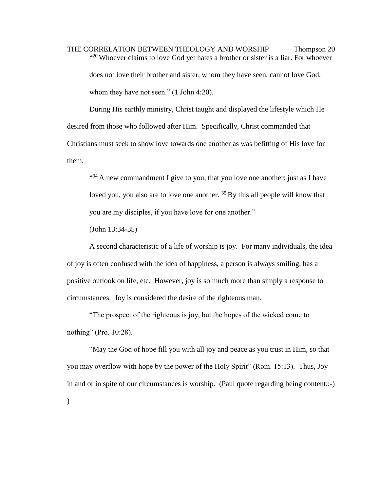THE CORRELATION BETWEEN THEOLOGY AND WORSHIP Thompson 20  $^{(20)}$  Whoever claims to love God yet hates a brother or sister is a liar. For whoever does not love their brother and sister, whom they have seen, cannot love God, whom they have not seen." (1 John 4:20).

During His earthly ministry, Christ taught and displayed the lifestyle which He desired from those who followed after Him. Specifically, Christ commanded that Christians must seek to show love towards one another as was befitting of His love for them.

 $434$  A new commandment I give to you, that you love one another: just as I have loved you, you also are to love one another. <sup>35</sup> By this all people will know that you are my disciples, if you have love for one another."

(John 13:34-35)

A second characteristic of a life of worship is joy. For many individuals, the idea of joy is often confused with the idea of happiness, a person is always smiling, has a positive outlook on life, etc. However, joy is so much more than simply a response to circumstances. Joy is considered the desire of the righteous man.

"The prospect of the righteous is joy, but the hopes of the wicked come to nothing" (Pro. 10:28).

"May the God of hope fill you with all joy and peace as you trust in Him, so that you may overflow with hope by the power of the Holy Spirit" (Rom. 15:13). Thus, Joy in and or in spite of our circumstances is worship. (Paul quote regarding being content.:-)  $\mathcal{L}$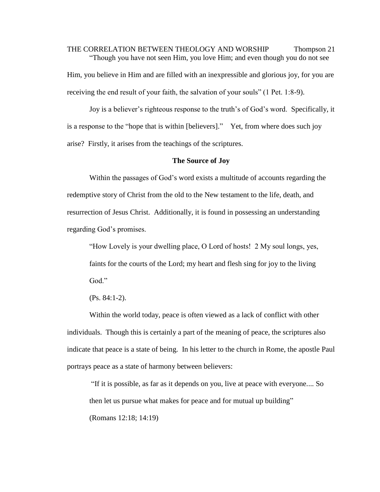THE CORRELATION BETWEEN THEOLOGY AND WORSHIP Thompson 21 "Though you have not seen Him, you love Him; and even though you do not see Him, you believe in Him and are filled with an inexpressible and glorious joy, for you are receiving the end result of your faith, the salvation of your souls" (1 Pet. 1:8-9).

Joy is a believer's righteous response to the truth's of God's word. Specifically, it is a response to the "hope that is within [believers]." Yet, from where does such joy arise? Firstly, it arises from the teachings of the scriptures.

#### **The Source of Joy**

Within the passages of God's word exists a multitude of accounts regarding the redemptive story of Christ from the old to the New testament to the life, death, and resurrection of Jesus Christ. Additionally, it is found in possessing an understanding regarding God's promises.

"How Lovely is your dwelling place, O Lord of hosts! 2 My soul longs, yes, faints for the courts of the Lord; my heart and flesh sing for joy to the living God."

(Ps. 84:1-2).

Within the world today, peace is often viewed as a lack of conflict with other individuals. Though this is certainly a part of the meaning of peace, the scriptures also indicate that peace is a state of being. In his letter to the church in Rome, the apostle Paul portrays peace as a state of harmony between believers:

"If it is possible, as far as it depends on you, live at peace with everyone.... So then let us pursue what makes for peace and for mutual up building" (Romans 12:18; 14:19)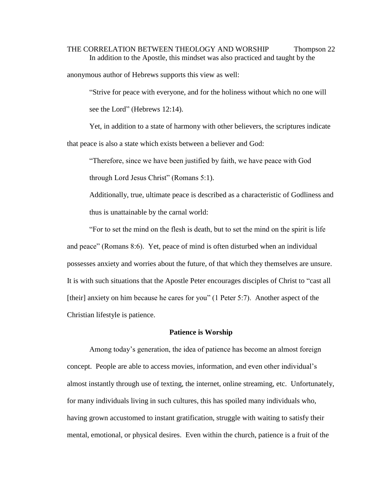# THE CORRELATION BETWEEN THEOLOGY AND WORSHIP Thompson 22 In addition to the Apostle, this mindset was also practiced and taught by the

anonymous author of Hebrews supports this view as well:

"Strive for peace with everyone, and for the holiness without which no one will see the Lord" (Hebrews 12:14).

Yet, in addition to a state of harmony with other believers, the scriptures indicate that peace is also a state which exists between a believer and God:

"Therefore, since we have been justified by faith, we have peace with God

through Lord Jesus Christ" (Romans 5:1).

Additionally, true, ultimate peace is described as a characteristic of Godliness and thus is unattainable by the carnal world:

"For to set the mind on the flesh is death, but to set the mind on the spirit is life and peace" (Romans 8:6). Yet, peace of mind is often disturbed when an individual possesses anxiety and worries about the future, of that which they themselves are unsure. It is with such situations that the Apostle Peter encourages disciples of Christ to "cast all [their] anxiety on him because he cares for you" (1 Peter 5:7). Another aspect of the Christian lifestyle is patience.

#### **Patience is Worship**

Among today's generation, the idea of patience has become an almost foreign concept. People are able to access movies, information, and even other individual's almost instantly through use of texting, the internet, online streaming, etc. Unfortunately, for many individuals living in such cultures, this has spoiled many individuals who, having grown accustomed to instant gratification, struggle with waiting to satisfy their mental, emotional, or physical desires. Even within the church, patience is a fruit of the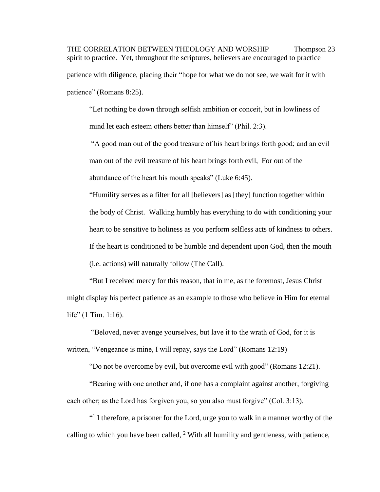THE CORRELATION BETWEEN THEOLOGY AND WORSHIP Thompson 23 spirit to practice. Yet, throughout the scriptures, believers are encouraged to practice patience with diligence, placing their "hope for what we do not see, we wait for it with patience" (Romans 8:25).

"Let nothing be down through selfish ambition or conceit, but in lowliness of mind let each esteem others better than himself" (Phil. 2:3).

"A good man out of the good treasure of his heart brings forth good; and an evil man out of the evil treasure of his heart brings forth evil, For out of the abundance of the heart his mouth speaks" (Luke 6:45).

"Humility serves as a filter for all [believers] as [they] function together within the body of Christ. Walking humbly has everything to do with conditioning your heart to be sensitive to holiness as you perform selfless acts of kindness to others. If the heart is conditioned to be humble and dependent upon God, then the mouth (i.e. actions) will naturally follow (The Call).

"But I received mercy for this reason, that in me, as the foremost, Jesus Christ might display his perfect patience as an example to those who believe in Him for eternal life" (1 Tim. 1:16).

"Beloved, never avenge yourselves, but lave it to the wrath of God, for it is written, "Vengeance is mine, I will repay, says the Lord" (Romans 12:19)

"Do not be overcome by evil, but overcome evil with good" (Romans 12:21).

"Bearing with one another and, if one has a complaint against another, forgiving each other; as the Lord has forgiven you, so you also must forgive" (Col. 3:13).

<sup>41</sup> I therefore, a prisoner for the Lord, urge you to walk in a manner worthy of the calling to which you have been called, <sup>2</sup> With all humility and gentleness, with patience,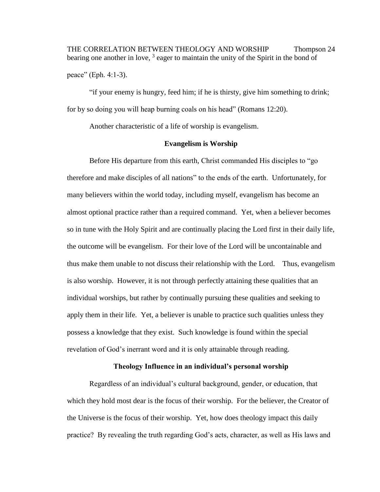THE CORRELATION BETWEEN THEOLOGY AND WORSHIP Thompson 24 bearing one another in love, <sup>3</sup> eager to maintain the unity of the Spirit in the bond of

peace" (Eph. 4:1-3).

"if your enemy is hungry, feed him; if he is thirsty, give him something to drink; for by so doing you will heap burning coals on his head" (Romans 12:20).

Another characteristic of a life of worship is evangelism.

#### **Evangelism is Worship**

Before His departure from this earth, Christ commanded His disciples to "go therefore and make disciples of all nations" to the ends of the earth. Unfortunately, for many believers within the world today, including myself, evangelism has become an almost optional practice rather than a required command. Yet, when a believer becomes so in tune with the Holy Spirit and are continually placing the Lord first in their daily life, the outcome will be evangelism. For their love of the Lord will be uncontainable and thus make them unable to not discuss their relationship with the Lord. Thus, evangelism is also worship. However, it is not through perfectly attaining these qualities that an individual worships, but rather by continually pursuing these qualities and seeking to apply them in their life. Yet, a believer is unable to practice such qualities unless they possess a knowledge that they exist. Such knowledge is found within the special revelation of God's inerrant word and it is only attainable through reading.

## **Theology Influence in an individual's personal worship**

Regardless of an individual's cultural background, gender, or education, that which they hold most dear is the focus of their worship. For the believer, the Creator of the Universe is the focus of their worship. Yet, how does theology impact this daily practice? By revealing the truth regarding God's acts, character, as well as His laws and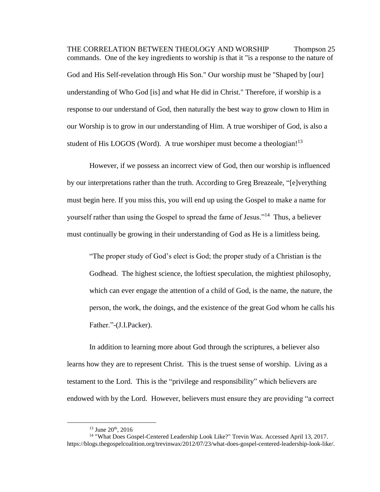THE CORRELATION BETWEEN THEOLOGY AND WORSHIP Thompson 25 commands. One of the key ingredients to worship is that it "is a response to the nature of God and His Self-revelation through His Son." Our worship must be "Shaped by [our] understanding of Who God [is] and what He did in Christ." Therefore, if worship is a response to our understand of God, then naturally the best way to grow clown to Him in our Worship is to grow in our understanding of Him. A true worshiper of God, is also a student of His LOGOS (Word). A true worshiper must become a theologian!<sup>13</sup>

However, if we possess an incorrect view of God, then our worship is influenced by our interpretations rather than the truth. According to Greg Breazeale, "[e]verything must begin here. If you miss this, you will end up using the Gospel to make a name for yourself rather than using the Gospel to spread the fame of Jesus."<sup>14</sup> Thus, a believer must continually be growing in their understanding of God as He is a limitless being.

"The proper study of God's elect is God; the proper study of a Christian is the Godhead. The highest science, the loftiest speculation, the mightiest philosophy, which can ever engage the attention of a child of God, is the name, the nature, the person, the work, the doings, and the existence of the great God whom he calls his Father."-(J.I.Packer).

In addition to learning more about God through the scriptures, a believer also learns how they are to represent Christ. This is the truest sense of worship. Living as a testament to the Lord. This is the "privilege and responsibility" which believers are endowed with by the Lord. However, believers must ensure they are providing "a correct

 $13$  June  $20<sup>th</sup>$ ,  $2016$ 

<sup>&</sup>lt;sup>14</sup> "What Does Gospel-Centered Leadership Look Like?" Trevin Wax. Accessed April 13, 2017. https://blogs.thegospelcoalition.org/trevinwax/2012/07/23/what-does-gospel-centered-leadership-look-like/.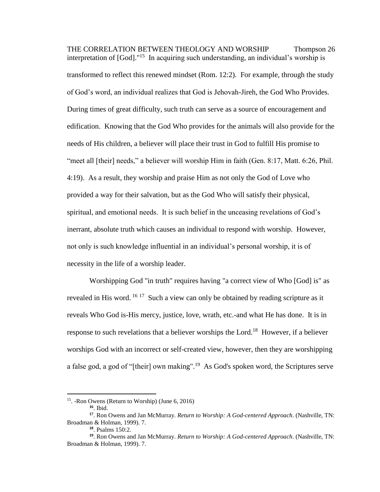THE CORRELATION BETWEEN THEOLOGY AND WORSHIP Thompson 26 interpretation of  $[God]$ ."<sup>15</sup> In acquiring such understanding, an individual's worship is transformed to reflect this renewed mindset (Rom. 12:2). For example, through the study of God's word, an individual realizes that God is Jehovah-Jireh, the God Who Provides. During times of great difficulty, such truth can serve as a source of encouragement and edification. Knowing that the God Who provides for the animals will also provide for the needs of His children, a believer will place their trust in God to fulfill His promise to "meet all [their] needs," a believer will worship Him in faith (Gen. 8:17, Matt. 6:26, Phil. 4:19). As a result, they worship and praise Him as not only the God of Love who provided a way for their salvation, but as the God Who will satisfy their physical, spiritual, and emotional needs. It is such belief in the unceasing revelations of God's inerrant, absolute truth which causes an individual to respond with worship. However, not only is such knowledge influential in an individual's personal worship, it is of necessity in the life of a worship leader.

Worshipping God "in truth" requires having "a correct view of Who [God] is" as revealed in His word. <sup>16 17</sup> Such a view can only be obtained by reading scripture as it reveals Who God is-His mercy, justice, love, wrath, etc.-and what He has done. It is in response to such revelations that a believer worships the Lord.<sup>18</sup> However, if a believer worships God with an incorrect or self-created view, however, then they are worshipping a false god, a god of "[their] own making".<sup>19</sup> As God's spoken word, the Scriptures serve

<sup>15</sup> . -Ron Owens (Return to Worship) (June 6, 2016)

**<sup>16</sup>**. Ibid.

**<sup>17</sup>** . Ron Owens and Jan McMurray. *Return to Worship: A God-centered Approach*. (Nashville, TN: Broadman & Holman, 1999). 7.

**<sup>18</sup>**. Psalms 150:2.

**<sup>19</sup>**. Ron Owens and Jan McMurray. *Return to Worship: A God-centered Approach*. (Nashville, TN: Broadman & Holman, 1999). 7.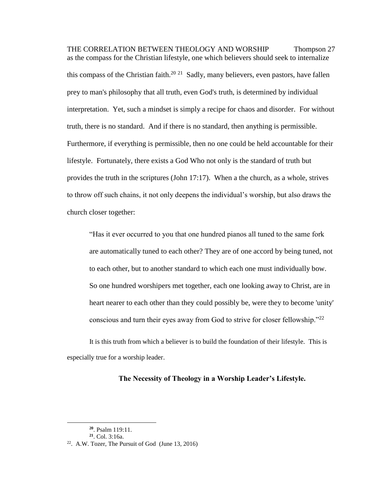THE CORRELATION BETWEEN THEOLOGY AND WORSHIP Thompson 27 as the compass for the Christian lifestyle, one which believers should seek to internalize this compass of the Christian faith.<sup>20 21</sup> Sadly, many believers, even pastors, have fallen prey to man's philosophy that all truth, even God's truth, is determined by individual interpretation. Yet, such a mindset is simply a recipe for chaos and disorder. For without truth, there is no standard. And if there is no standard, then anything is permissible. Furthermore, if everything is permissible, then no one could be held accountable for their lifestyle. Fortunately, there exists a God Who not only is the standard of truth but provides the truth in the scriptures (John 17:17). When a the church, as a whole, strives to throw off such chains, it not only deepens the individual's worship, but also draws the church closer together:

"Has it ever occurred to you that one hundred pianos all tuned to the same fork are automatically tuned to each other? They are of one accord by being tuned, not to each other, but to another standard to which each one must individually bow. So one hundred worshipers met together, each one looking away to Christ, are in heart nearer to each other than they could possibly be, were they to become 'unity' conscious and turn their eyes away from God to strive for closer fellowship."<sup>22</sup>

It is this truth from which a believer is to build the foundation of their lifestyle. This is especially true for a worship leader.

### **The Necessity of Theology in a Worship Leader's Lifestyle.**

**<sup>20</sup>**. Psalm 119:11.

**<sup>21</sup>**. Col. 3:16a.

<sup>&</sup>lt;sup>22</sup>. A.W. Tozer, The Pursuit of God (June 13, 2016)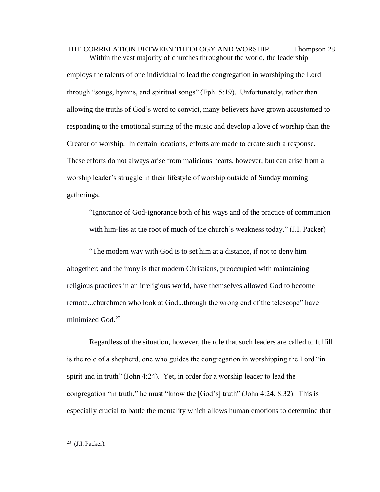THE CORRELATION BETWEEN THEOLOGY AND WORSHIP Thompson 28 Within the vast majority of churches throughout the world, the leadership

employs the talents of one individual to lead the congregation in worshiping the Lord through "songs, hymns, and spiritual songs" (Eph. 5:19). Unfortunately, rather than allowing the truths of God's word to convict, many believers have grown accustomed to responding to the emotional stirring of the music and develop a love of worship than the Creator of worship. In certain locations, efforts are made to create such a response. These efforts do not always arise from malicious hearts, however, but can arise from a worship leader's struggle in their lifestyle of worship outside of Sunday morning gatherings.

"Ignorance of God-ignorance both of his ways and of the practice of communion with him-lies at the root of much of the church's weakness today." (J.I. Packer)

"The modern way with God is to set him at a distance, if not to deny him altogether; and the irony is that modern Christians, preoccupied with maintaining religious practices in an irreligious world, have themselves allowed God to become remote...churchmen who look at God...through the wrong end of the telescope" have minimized God. 23

Regardless of the situation, however, the role that such leaders are called to fulfill is the role of a shepherd, one who guides the congregation in worshipping the Lord "in spirit and in truth" (John 4:24). Yet, in order for a worship leader to lead the congregation "in truth," he must "know the [God's] truth" (John 4:24, 8:32). This is especially crucial to battle the mentality which allows human emotions to determine that

 $23$  (J.I. Packer).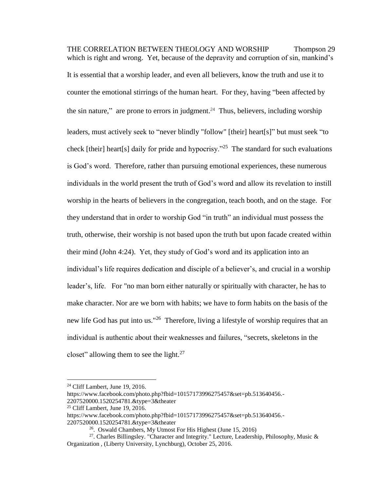THE CORRELATION BETWEEN THEOLOGY AND WORSHIP Thompson 29 which is right and wrong. Yet, because of the depravity and corruption of sin, mankind's It is essential that a worship leader, and even all believers, know the truth and use it to counter the emotional stirrings of the human heart. For they, having "been affected by the sin nature," are prone to errors in judgment.<sup>24</sup> Thus, believers, including worship leaders, must actively seek to "never blindly "follow" [their] heart[s]" but must seek "to check [their] heart[s] daily for pride and hypocrisy."<sup>25</sup> The standard for such evaluations is God's word. Therefore, rather than pursuing emotional experiences, these numerous individuals in the world present the truth of God's word and allow its revelation to instill worship in the hearts of believers in the congregation, teach booth, and on the stage. For they understand that in order to worship God "in truth" an individual must possess the truth, otherwise, their worship is not based upon the truth but upon facade created within their mind (John 4:24). Yet, they study of God's word and its application into an individual's life requires dedication and disciple of a believer's, and crucial in a worship leader's, life. For "no man born either naturally or spiritually with character, he has to make character. Nor are we born with habits; we have to form habits on the basis of the new life God has put into us."<sup>26</sup> Therefore, living a lifestyle of worship requires that an individual is authentic about their weaknesses and failures, "secrets, skeletons in the closet" allowing them to see the light. $27$ 

<sup>24</sup> Cliff Lambert, June 19, 2016.

https://www.facebook.com/photo.php?fbid=10157173996275457&set=pb.513640456.-

<sup>2207520000.1520254781.&</sup>amp;type=3&theater

 $25$  Cliff Lambert, June 19, 2016.

https://www.facebook.com/photo.php?fbid=10157173996275457&set=pb.513640456.-2207520000.1520254781.&type=3&theater

<sup>&</sup>lt;sup>26</sup>. Oswald Chambers, My Utmost For His Highest (June 15, 2016)

<sup>&</sup>lt;sup>27</sup>. Charles Billingsley. "Character and Integrity." Lecture, Leadership, Philosophy, Music & Organization , (Liberty University, Lynchburg), October 25, 2016.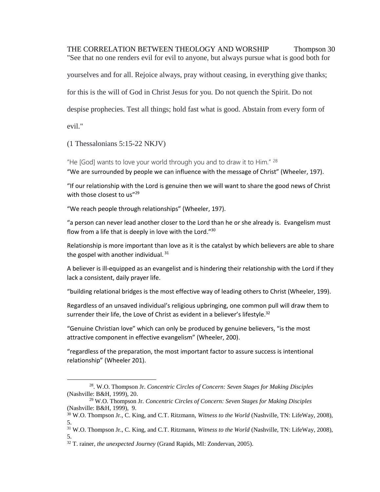THE CORRELATION BETWEEN THEOLOGY AND WORSHIP Thompson 30 "See that no one renders evil for evil to anyone, but always pursue what is good both for

yourselves and for all. Rejoice always, pray without ceasing, in everything give thanks;

for this is the will of God in Christ Jesus for you. Do not quench the Spirit. Do not

despise prophecies. Test all things; hold fast what is good. Abstain from every form of

evil."

 $\overline{\phantom{a}}$ 

(1 Thessalonians 5:15-22 NKJV)

"He [God] wants to love your world through you and to draw it to Him." <sup>28</sup> "We are surrounded by people we can influence with the message of Christ" (Wheeler, 197).

"If our relationship with the Lord is genuine then we will want to share the good news of Christ with those closest to us"<sup>29</sup>

"We reach people through relationships" (Wheeler, 197).

"a person can never lead another closer to the Lord than he or she already is. Evangelism must flow from a life that is deeply in love with the Lord."<sup>30</sup>

Relationship is more important than love as it is the catalyst by which believers are able to share the gospel with another individual.<sup>31</sup>

A believer is ill-equipped as an evangelist and is hindering their relationship with the Lord if they lack a consistent, daily prayer life.

"building relational bridges is the most effective way of leading others to Christ (Wheeler, 199).

Regardless of an unsaved individual's religious upbringing, one common pull will draw them to surrender their life, the Love of Christ as evident in a believer's lifestyle. $32$ 

"Genuine Christian love" which can only be produced by genuine believers, "is the most attractive component in effective evangelism" (Wheeler, 200).

"regardless of the preparation, the most important factor to assure success is intentional relationship" (Wheeler 201).

<sup>28</sup> . W.O. Thompson Jr. *Concentric Circles of Concern: Seven Stages for Making Disciples*  (Nashville: B&H, 1999), 20.

<sup>29</sup> W.O. Thompson Jr. *Concentric Circles of Concern: Seven Stages for Making Disciples*  (Nashville: B&H, 1999), 9.

<sup>30</sup> W.O. Thompson Jr., C. King, and C.T. Ritzmann, *Witness to the World* (Nashville, TN: LifeWay, 2008), 5.

<sup>31</sup> W.O. Thompson Jr., C. King, and C.T. Ritzmann, *Witness to the World* (Nashville, TN: LifeWay, 2008), 5.

<sup>32</sup> T. rainer, *the unexpected Journey* (Grand Rapids, MI: Zondervan, 2005).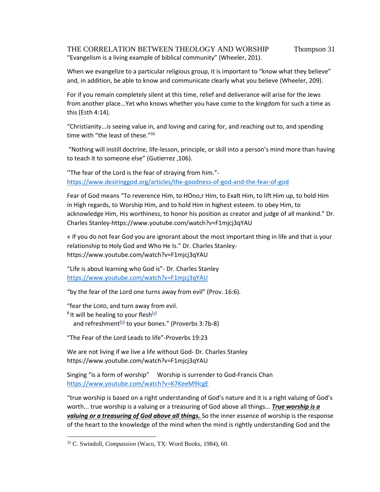## THE CORRELATION BETWEEN THEOLOGY AND WORSHIP Thompson 31 "Evangelism is a living example of biblical community" (Wheeler, 201).

When we evangelize to a particular religious group, it is important to "know what they believe" and, in addition, be able to know and communicate clearly what you believe (Wheeler, 209).

For if you remain completely silent at this time, relief and deliverance will arise for the Jews from another place...Yet who knows whether you have come to the kingdom for such a time as this (Esth 4:14).

"Christianity...is seeing value in, and loving and caring for, and reaching out to, and spending time with "the least of these."<sup>33</sup>

"Nothing will instill doctrine, life-lesson, principle, or skill into a person's mind more than having to teach it to someone else" (Gutierrez ,106).

"The fear of the Lord is the fear of straying from him." <https://www.desiringgod.org/articles/the-goodness-of-god-and-the-fear-of-god>

Fear of God means "To reverence Him, to HOno,r Him, to Exalt Him, to lift Him up, to hold Him in High regards, to Worship Him, and to hold Him in highest esteem. to obey Him, to acknowledge Him, His worthiness, to honor his position as creator and judge of all mankind." Dr. Charles Stanley-https://www.youtube.com/watch?v=F1mjcj3qYAU

« If you do not fear God you are ignorant about the most important thing in life and that is your relationship to Holy God and Who He Is." Dr. Charles Stanleyhttps://www.youtube.com/watch?v=F1mjcj3qYAU

"Life is about learning who God is"- Dr. Charles Stanley <https://www.youtube.com/watch?v=F1mjcj3qYAU>

"by the fear of the Lord one turns away from evil" (Prov. 16:6).

"fear the LORD, and turn away from evil. <sup>8</sup> It will be healing to your flesh<sup>[\[a\]](https://www.biblegateway.com/passage/?search=Proverbs+3%3A7-8&version=ESV#fen-ESV-16464a)</sup> and refreshment<sup>[\[b\]](https://www.biblegateway.com/passage/?search=Proverbs+3%3A7-8&version=ESV#fen-ESV-16464b)</sup> to your bones." (Proverbs 3:7b-8)

"The Fear of the Lord Leads to life"-Proverbs 19:23

We are not living if we live a life without God- Dr. Charles Stanley https://www.youtube.com/watch?v=F1mjcj3qYAU

Singing "is a form of worship" Worship is surrender to God-Francis Chan <https://www.youtube.com/watch?v=K7KeeM9lcgE>

"true worship is based on a right understanding of God's nature and it is a right valuing of God's worth... true worship is a valuing or a treasuring of God above all things... *True worship is a valuing or a treasuring of God above all things.* So the inner essence of worship is the response of the heart to the knowledge of the mind when the mind is rightly understanding God and the

<sup>33</sup> C. Swindoll, *Compassion* (Waco, TX: Word Books, 1984), 60.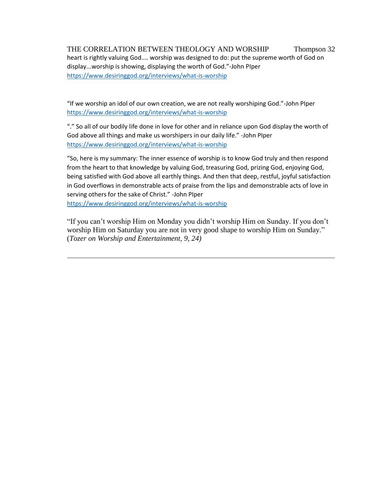THE CORRELATION BETWEEN THEOLOGY AND WORSHIP Thompson 32 heart is rightly valuing God.... worship was designed to do: put the supreme worth of God on display...worship is showing, displaying the worth of God."-John PIper <https://www.desiringgod.org/interviews/what-is-worship>

"If we worship an idol of our own creation, we are not really worshiping God."-John PIper <https://www.desiringgod.org/interviews/what-is-worship>

"." So all of our bodily life done in love for other and in reliance upon God display the worth of God above all things and make us worshipers in our daily life." -John PIper <https://www.desiringgod.org/interviews/what-is-worship>

"So, here is my summary: The inner essence of worship is to know God truly and then respond from the heart to that knowledge by valuing God, treasuring God, prizing God, enjoying God, being satisfied with God above all earthly things. And then that deep, restful, joyful satisfaction in God overflows in demonstrable acts of praise from the lips and demonstrable acts of love in serving others for the sake of Christ." -John PIper

<https://www.desiringgod.org/interviews/what-is-worship>

"If you can't worship Him on Monday you didn't worship Him on Sunday. If you don't worship Him on Saturday you are not in very good shape to worship Him on Sunday." (*Tozer on Worship and Entertainment, 9, 24)*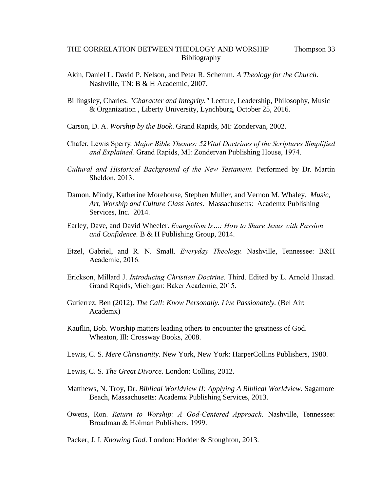## THE CORRELATION BETWEEN THEOLOGY AND WORSHIP Thompson 33 Bibliography

- Akin, Daniel L. David P. Nelson, and Peter R. Schemm. *A Theology for the Church*. Nashville, TN: B & H Academic, 2007.
- Billingsley, Charles. *"Character and Integrity."* Lecture, Leadership, Philosophy, Music & Organization , Liberty University, Lynchburg, October 25, 2016.
- Carson, D. A. *Worship by the Book*. Grand Rapids, MI: Zondervan, 2002.
- Chafer, Lewis Sperry. *Major Bible Themes: 52Vital Doctrines of the Scriptures Simplified and Explained.* Grand Rapids, MI: Zondervan Publishing House, 1974.
- *Cultural and Historical Background of the New Testament.* Performed by Dr. Martin Sheldon. 2013.
- Damon, Mindy, Katherine Morehouse, Stephen Muller, and Vernon M. Whaley. *Music, Art, Worship and Culture Class Notes*. Massachusetts: Academx Publishing Services, Inc. 2014.
- Earley, Dave, and David Wheeler. *Evangelism Is…: How to Share Jesus with Passion and Confidence.* B & H Publishing Group, 2014.
- Etzel, Gabriel, and R. N. Small. *Everyday Theology.* Nashville, Tennessee: B&H Academic, 2016.
- Erickson, Millard J. *Introducing Christian Doctrine.* Third. Edited by L. Arnold Hustad. Grand Rapids, Michigan: Baker Academic, 2015.
- Gutierrez, Ben (2012). *The Call: Know Personally. Live Passionately.* (Bel Air: Academx)
- Kauflin, Bob. Worship matters leading others to encounter the greatness of God. Wheaton, Ill: Crossway Books, 2008.
- Lewis, C. S. *Mere Christianity*. New York, New York: HarperCollins Publishers, 1980.
- Lewis, C. S. *The Great Divorce*. London: Collins, 2012.
- Matthews, N. Troy, Dr. *Biblical Worldview II: Applying A Biblical Worldview*. Sagamore Beach, Massachusetts: Academx Publishing Services, 2013.
- Owens, Ron. *Return to Worship: A God-Centered Approach.* Nashville, Tennessee: Broadman & Holman Publishers, 1999.
- Packer, J. I. *Knowing God*. London: Hodder & Stoughton, 2013.